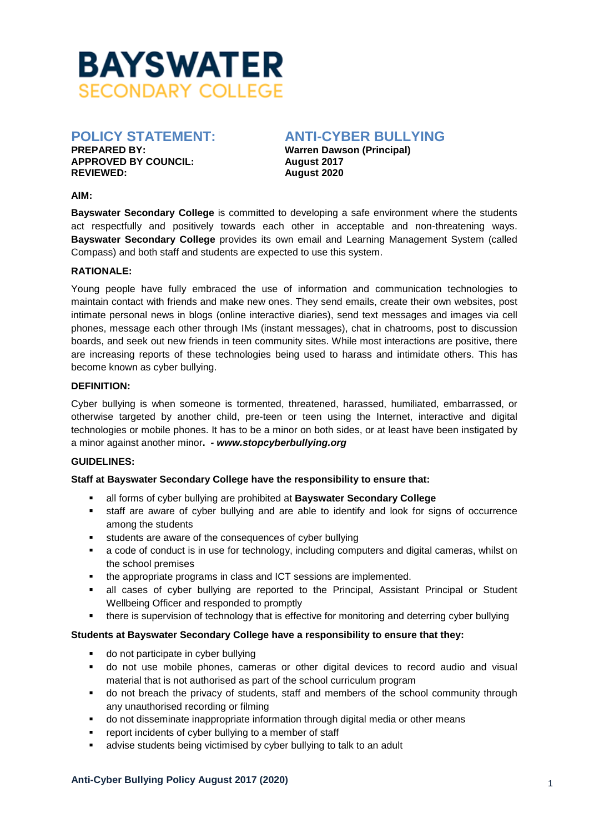

**APPROVED BY COUNCIL: August 2017** 

# **POLICY STATEMENT: ANTI-CYBER BULLYING**

**Warren Dawson (Principal) REVIEWED: August 2020** 

#### **AIM:**

**Bayswater Secondary College** is committed to developing a safe environment where the students act respectfully and positively towards each other in acceptable and non-threatening ways. **Bayswater Secondary College** provides its own email and Learning Management System (called Compass) and both staff and students are expected to use this system.

# **RATIONALE:**

Young people have fully embraced the use of information and communication technologies to maintain contact with friends and make new ones. They send emails, create their own websites, post intimate personal news in blogs (online interactive diaries), send text messages and images via cell phones, message each other through IMs (instant messages), chat in chatrooms, post to discussion boards, and seek out new friends in teen community sites. While most interactions are positive, there are increasing reports of these technologies being used to harass and intimidate others. This has become known as cyber bullying.

# **DEFINITION:**

Cyber bullying is when someone is tormented, threatened, harassed, humiliated, embarrassed, or otherwise targeted by another child, pre-teen or teen using the Internet, interactive and digital technologies or mobile phones. It has to be a minor on both sides, or at least have been instigated by a minor against another minor**.** *- www.stopcyberbullying.org*

# **GUIDELINES:**

# **Staff at Bayswater Secondary College have the responsibility to ensure that:**

- all forms of cyber bullying are prohibited at **Bayswater Secondary College**
- staff are aware of cyber bullying and are able to identify and look for signs of occurrence among the students
- students are aware of the consequences of cyber bullying
- a code of conduct is in use for technology, including computers and digital cameras, whilst on the school premises
- the appropriate programs in class and ICT sessions are implemented.
- all cases of cyber bullying are reported to the Principal, Assistant Principal or Student Wellbeing Officer and responded to promptly
- **there is supervision of technology that is effective for monitoring and deterring cyber bullying**

# **Students at Bayswater Secondary College have a responsibility to ensure that they:**

- do not participate in cyber bullying
- do not use mobile phones, cameras or other digital devices to record audio and visual material that is not authorised as part of the school curriculum program
- do not breach the privacy of students, staff and members of the school community through any unauthorised recording or filming
- **•** do not disseminate inappropriate information through digital media or other means
- report incidents of cyber bullying to a member of staff
- **•** advise students being victimised by cyber bullying to talk to an adult

#### **Anti-Cyber Bullying Policy August 2017 (2020)** <sup>1</sup>